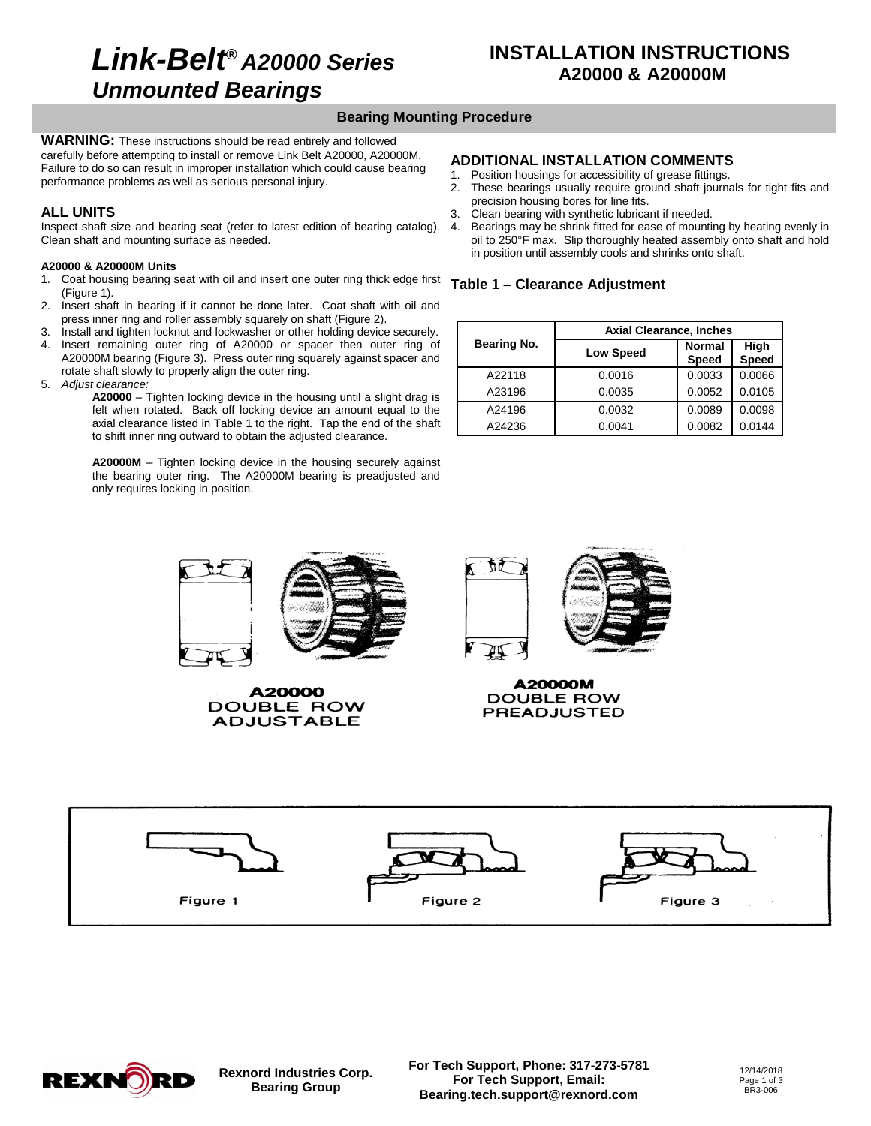# *Link-Belt® A20000 Series Unmounted Bearings*

## **INSTALLATION INSTRUCTIONS A20000 & A20000M**

## **Bearing Mounting Procedure**

**WARNING:** These instructions should be read entirely and followed carefully before attempting to install or remove Link Belt A20000, A20000M. Failure to do so can result in improper installation which could cause bearing performance problems as well as serious personal injury.

### **ALL UNITS**

Inspect shaft size and bearing seat (refer to latest edition of bearing catalog). Clean shaft and mounting surface as needed.

#### **A20000 & A20000M Units**

- 1. Coat housing bearing seat with oil and insert one outer ring thick edge first (Figure 1).
- 2. Insert shaft in bearing if it cannot be done later. Coat shaft with oil and press inner ring and roller assembly squarely on shaft (Figure 2).
- 3. Install and tighten locknut and lockwasher or other holding device securely.
- Insert remaining outer ring of A20000 or spacer then outer ring of A20000M bearing (Figure 3). Press outer ring squarely against spacer and rotate shaft slowly to properly align the outer ring.
- 5. *Adjust clearance:*

**A20000** – Tighten locking device in the housing until a slight drag is felt when rotated. Back off locking device an amount equal to the axial clearance listed in Table 1 to the right. Tap the end of the shaft to shift inner ring outward to obtain the adjusted clearance.

**A20000M** – Tighten locking device in the housing securely against the bearing outer ring. The A20000M bearing is preadjusted and only requires locking in position.

### **ADDITIONAL INSTALLATION COMMENTS**

- 1. Position housings for accessibility of grease fittings.
- 2. These bearings usually require ground shaft journals for tight fits and precision housing bores for line fits.
- 3. Clean bearing with synthetic lubricant if needed.
- 4. Bearings may be shrink fitted for ease of mounting by heating evenly in oil to 250°F max. Slip thoroughly heated assembly onto shaft and hold in position until assembly cools and shrinks onto shaft.

#### **Table 1 – Clearance Adjustment**

|             | <b>Axial Clearance, Inches</b> |                               |                      |  |  |
|-------------|--------------------------------|-------------------------------|----------------------|--|--|
| Bearing No. | <b>Low Speed</b>               | <b>Normal</b><br><b>Speed</b> | High<br><b>Speed</b> |  |  |
| A22118      | 0.0016                         | 0.0033                        | 0.0066               |  |  |
| A23196      | 0.0035                         | 0.0052                        | 0.0105               |  |  |
| A24196      | 0.0032                         | 0.0089                        | 0.0098               |  |  |
| A24236      | 0.0041                         | 0.0082                        | 0.0144               |  |  |



A20000 DOUBLE ROW **ADJUSTABLE** 



A20000M **DOUBLE ROW PREADJUSTED** 





**Rexnord Industries Corp. Bearing Group**

**For Tech Support, Phone: 317-273-5781 For Tech Support, Email: Bearing.tech.support@rexnord.com**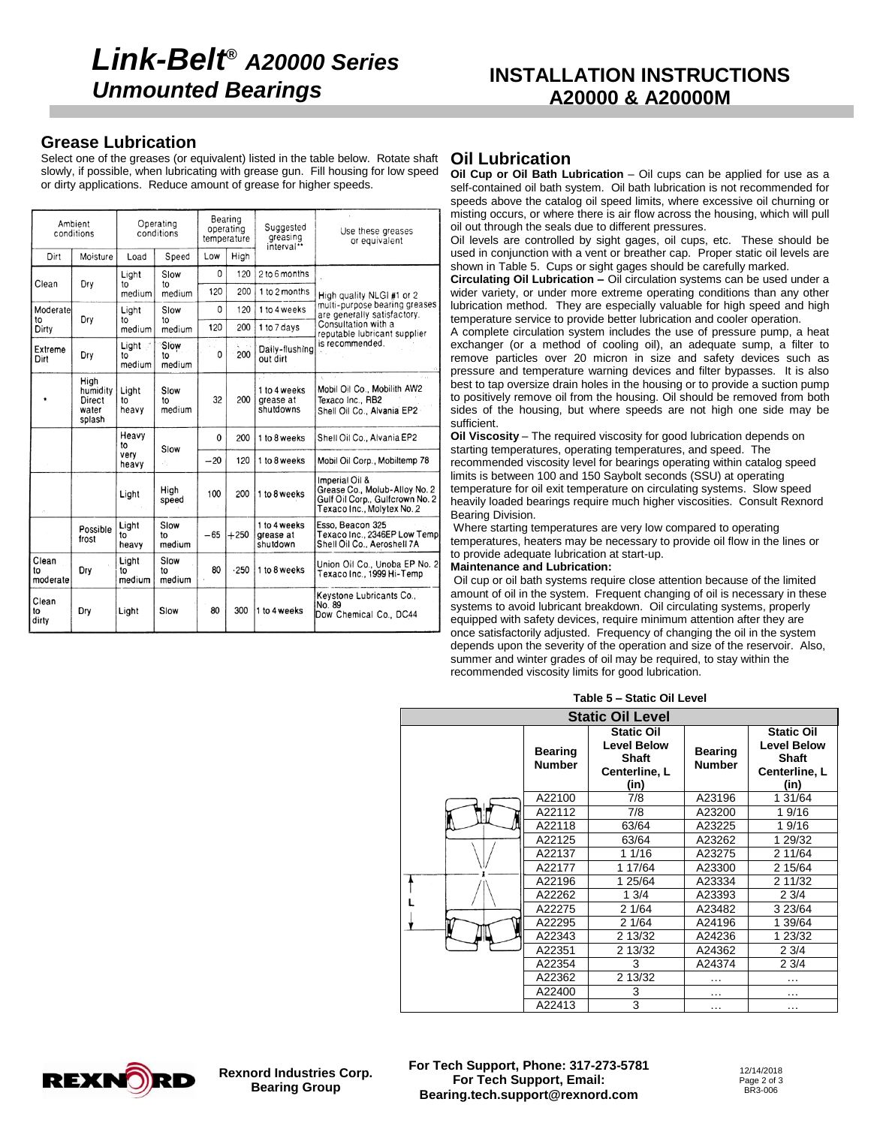## **Grease Lubrication**

Select one of the greases (or equivalent) listed in the table below. Rotate shaft slowly, if possible, when lubricating with grease gun. Fill housing for low speed or dirty applications. Reduce amount of grease for higher speeds.

| Ambient<br>conditions   |                                               | Operating<br>conditions |                      | Bearing<br>operating<br>temperature |        | Suggested<br>greasing<br>interval**    | Use these greases<br>or equivalent                                                                               |  |
|-------------------------|-----------------------------------------------|-------------------------|----------------------|-------------------------------------|--------|----------------------------------------|------------------------------------------------------------------------------------------------------------------|--|
| Dirt                    | Moisture                                      | Load                    | Speed                | Low                                 | High   |                                        |                                                                                                                  |  |
| Clean                   |                                               | Light                   | Slow<br>to           | 0                                   | 120    | 2 to 6 months                          |                                                                                                                  |  |
|                         | Dry                                           | t∩<br>medium            | medium               | 120                                 | 200    | 1 to 2 months                          | High quality NLGI #1 or 2                                                                                        |  |
| Moderate<br>to          | Dry                                           | Light                   | Slow                 | 0                                   | 120    | 1 to 4 weeks                           | multi-purpose bearing greases<br>are generally satisfactory.                                                     |  |
| Dirty                   |                                               | to<br>medium            | to<br>medium         | 120                                 | 200    | 1 to 7 days                            | Consultation with a<br>reputable lubricant supplier                                                              |  |
| Extreme<br>Dirt         | Dry                                           | Light :<br>to<br>medium | Slow<br>t٥<br>medium | 0                                   | 200    | Daily-flushing<br>out dirt             | is recommended.                                                                                                  |  |
|                         | High<br>humidity<br>Direct<br>water<br>splash | Light<br>to<br>heavy    | Slow<br>t٥<br>medium | 32                                  | 200    | 1 to 4 weeks<br>grease at<br>shutdowns | Mobil Oil Co., Mobilith AW2<br>Texaco Inc., RB2<br>Shell Oil Co., Alvania EP2                                    |  |
|                         |                                               | Heavy<br>to             |                      | 0                                   | 200    | 1 to 8 weeks                           | Shell Oil Co., Alvania EP2                                                                                       |  |
|                         |                                               | very<br>heavy           | Slow<br>A.           | $-20$                               | 120    | 1 to 8 weeks                           | Mobil Oil Corp., Mobiltemp 78                                                                                    |  |
|                         |                                               | Light                   | High<br>speed        | 100                                 | 200    | 1 to 8 weeks                           | Imperial Oil &<br>Grease Co., Molub-Alloy No. 2<br>Gulf Oil Corp., Gulfcrown No. 2<br>Texaco Inc., Molytex No. 2 |  |
|                         | Possible<br>frost                             | Light<br>to<br>heavy    | Slow<br>to<br>medium | $-65$                               | $+250$ | 1 to 4 weeks<br>grease at<br>shutdown  | Esso, Beacon 325<br>Texaco Inc., 2346EP Low Temp<br>Shell Oil Co., Aeroshell 7A                                  |  |
| Clean<br>to<br>moderate | Dry                                           | Light<br>to<br>medium   | Slow<br>to<br>medium | 80                                  | .250   | 1 to 8 weeks                           | Union Oil Co., Unoba EP No. 2<br>Texaco Inc., 1999 Hi-Temp                                                       |  |
| Clean<br>to<br>dirty    | Dry                                           | Light                   | Slow                 | 80                                  | 300    | 1 to 4 weeks                           | Keystone Lubricants Co.,<br>No. 89<br>Dow Chemical Co., DC44                                                     |  |

## **Oil Lubrication**

**Oil Cup or Oil Bath Lubrication** – Oil cups can be applied for use as a self-contained oil bath system. Oil bath lubrication is not recommended for speeds above the catalog oil speed limits, where excessive oil churning or misting occurs, or where there is air flow across the housing, which will pull oil out through the seals due to different pressures.

Oil levels are controlled by sight gages, oil cups, etc. These should be used in conjunction with a vent or breather cap. Proper static oil levels are shown in Table 5. Cups or sight gages should be carefully marked.

**Circulating Oil Lubrication –** Oil circulation systems can be used under a wider variety, or under more extreme operating conditions than any other lubrication method. They are especially valuable for high speed and high temperature service to provide better lubrication and cooler operation.

A complete circulation system includes the use of pressure pump, a heat exchanger (or a method of cooling oil), an adequate sump, a filter to remove particles over 20 micron in size and safety devices such as pressure and temperature warning devices and filter bypasses. It is also best to tap oversize drain holes in the housing or to provide a suction pump to positively remove oil from the housing. Oil should be removed from both sides of the housing, but where speeds are not high one side may be sufficient.

**Oil Viscosity** – The required viscosity for good lubrication depends on starting temperatures, operating temperatures, and speed. The recommended viscosity level for bearings operating within catalog speed limits is between 100 and 150 Saybolt seconds (SSU) at operating temperature for oil exit temperature on circulating systems. Slow speed heavily loaded bearings require much higher viscosities. Consult Rexnord Bearing Division.

Where starting temperatures are very low compared to operating temperatures, heaters may be necessary to provide oil flow in the lines or to provide adequate lubrication at start-up.

#### **Maintenance and Lubrication:**

Oil cup or oil bath systems require close attention because of the limited amount of oil in the system. Frequent changing of oil is necessary in these systems to avoid lubricant breakdown. Oil circulating systems, properly equipped with safety devices, require minimum attention after they are once satisfactorily adjusted. Frequency of changing the oil in the system depends upon the severity of the operation and size of the reservoir. Also, summer and winter grades of oil may be required, to stay within the recommended viscosity limits for good lubrication.

|  |  | Table 5 - Static Oil Level |  |  |
|--|--|----------------------------|--|--|
|--|--|----------------------------|--|--|

| <b>Static Oil Level</b> |                                 |                                                                                  |                                 |                                                                                  |  |
|-------------------------|---------------------------------|----------------------------------------------------------------------------------|---------------------------------|----------------------------------------------------------------------------------|--|
|                         | <b>Bearing</b><br><b>Number</b> | <b>Static Oil</b><br><b>Level Below</b><br><b>Shaft</b><br>Centerline, L<br>(in) | <b>Bearing</b><br><b>Number</b> | <b>Static Oil</b><br><b>Level Below</b><br><b>Shaft</b><br>Centerline, L<br>(in) |  |
|                         | A22100                          | 7/8                                                                              | A23196                          | 1 31/64                                                                          |  |
|                         | A22112                          | 7/8                                                                              | A23200                          | 19/16                                                                            |  |
|                         | A22118                          | 63/64                                                                            | A23225                          | 19/16                                                                            |  |
|                         | A22125                          | 63/64                                                                            | A23262                          | 1 29/32                                                                          |  |
|                         | A22137                          | 1 1/16                                                                           | A23275                          | 2 11/64                                                                          |  |
|                         | A22177                          | 1 17/64                                                                          | A23300                          | 2 15/64                                                                          |  |
|                         | A22196                          | 1 25/64                                                                          | A23334                          | 2 11/32                                                                          |  |
|                         | A22262                          | 13/4                                                                             | A23393                          | 23/4                                                                             |  |
|                         | A22275                          | 2 1/64                                                                           | A23482                          | 3 23/64                                                                          |  |
|                         | A22295                          | 2 1/64                                                                           | A24196                          | 1 39/64                                                                          |  |
|                         | A22343                          | 2 13/32                                                                          | A24236                          | 1 23/32                                                                          |  |
|                         | A22351                          | 2 13/32                                                                          | A24362                          | 23/4                                                                             |  |
|                         | A22354                          | 3                                                                                | A24374                          | 23/4                                                                             |  |
|                         | A22362                          | 2 13/32                                                                          | $\cdots$                        | .                                                                                |  |
|                         | A22400                          | 3                                                                                | $\cdots$                        | $\cdots$                                                                         |  |
|                         | A22413                          | 3                                                                                | $\cdots$                        | $\cdots$                                                                         |  |



**Rexnord Industries Corp. Bearing Group**

**For Tech Support, Phone: 317-273-5781 For Tech Support, Email: Bearing.tech.support@rexnord.com**